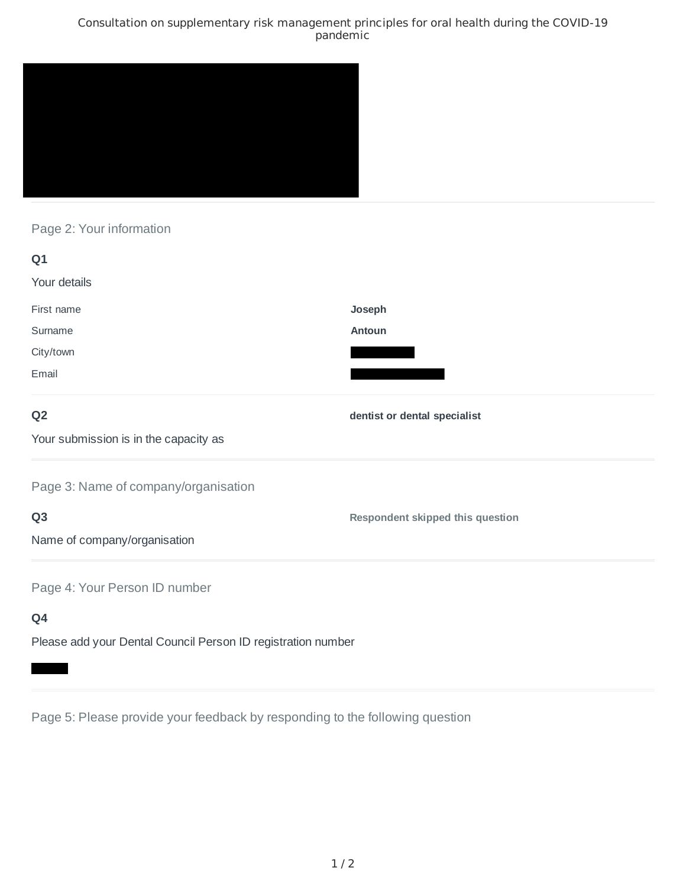### Consultation on supplementary risk management principles for oral health during the COVID-19 pandemic



# Page 2: Your information

| Q1                                                           |                                         |
|--------------------------------------------------------------|-----------------------------------------|
| Your details                                                 |                                         |
| First name                                                   | Joseph                                  |
| Surname                                                      | Antoun                                  |
| City/town                                                    |                                         |
| Email                                                        |                                         |
| Q <sub>2</sub>                                               | dentist or dental specialist            |
| Your submission is in the capacity as                        |                                         |
| Page 3: Name of company/organisation                         |                                         |
| Q <sub>3</sub>                                               | <b>Respondent skipped this question</b> |
| Name of company/organisation                                 |                                         |
| Page 4: Your Person ID number                                |                                         |
| Q4                                                           |                                         |
| Please add your Dental Council Person ID registration number |                                         |

Page 5: Please provide your feedback by responding to the following question